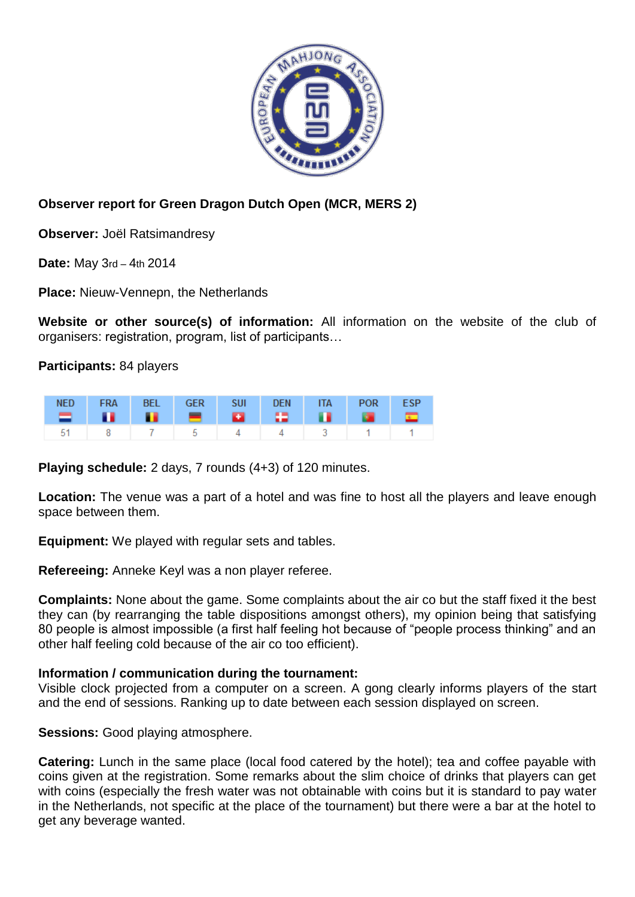

## **Observer report for Green Dragon Dutch Open (MCR, MERS 2)**

**Observer:** Joël Ratsimandresy

**Date:** May 3rd – 4th 2014

**Place:** Nieuw-Vennepn, the Netherlands

**Website or other source(s) of information:** All information on the website of the club of organisers: registration, program, list of participants…

**Participants:** 84 players

|  | NED FRA BEL GER SUI DEN ITA POR ESP |  |  |  |
|--|-------------------------------------|--|--|--|
|  | 51   8   7   5   4   4   3   1   1  |  |  |  |

**Playing schedule:** 2 days, 7 rounds (4+3) of 120 minutes.

**Location:** The venue was a part of a hotel and was fine to host all the players and leave enough space between them.

**Equipment:** We played with regular sets and tables.

**Refereeing:** Anneke Keyl was a non player referee.

**Complaints:** None about the game. Some complaints about the air co but the staff fixed it the best they can (by rearranging the table dispositions amongst others), my opinion being that satisfying 80 people is almost impossible (a first half feeling hot because of "people process thinking" and an other half feeling cold because of the air co too efficient).

## **Information / communication during the tournament:**

Visible clock projected from a computer on a screen. A gong clearly informs players of the start and the end of sessions. Ranking up to date between each session displayed on screen.

**Sessions:** Good playing atmosphere.

**Catering:** Lunch in the same place (local food catered by the hotel); tea and coffee payable with coins given at the registration. Some remarks about the slim choice of drinks that players can get with coins (especially the fresh water was not obtainable with coins but it is standard to pay water in the Netherlands, not specific at the place of the tournament) but there were a bar at the hotel to get any beverage wanted.